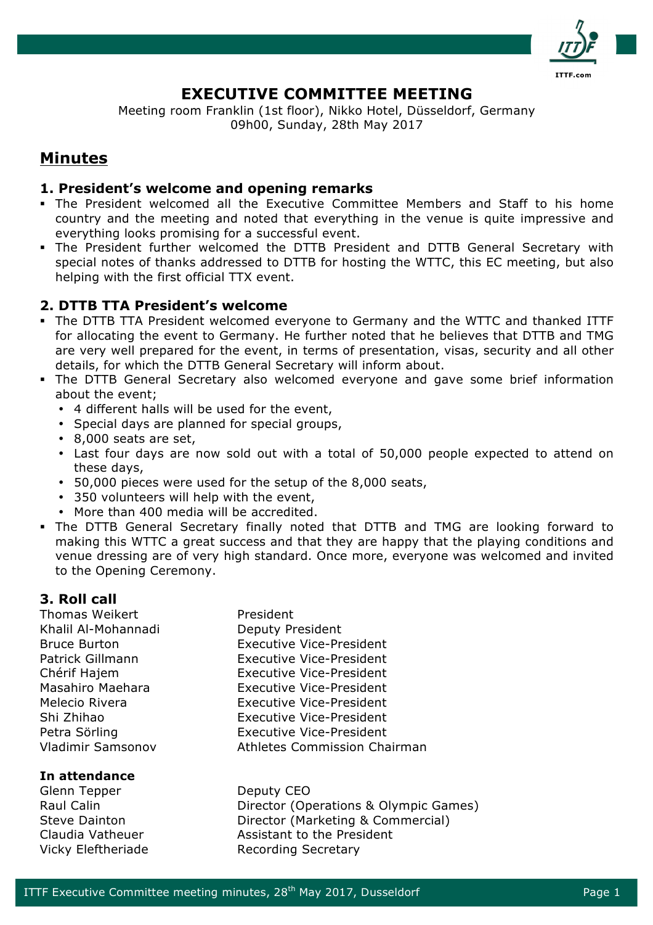

# **EXECUTIVE COMMITTEE MEETING**

Meeting room Franklin (1st floor), Nikko Hotel, Düsseldorf, Germany 09h00, Sunday, 28th May 2017

# **Minutes**

## **1. President's welcome and opening remarks**

- § The President welcomed all the Executive Committee Members and Staff to his home country and the meeting and noted that everything in the venue is quite impressive and everything looks promising for a successful event.
- § The President further welcomed the DTTB President and DTTB General Secretary with special notes of thanks addressed to DTTB for hosting the WTTC, this EC meeting, but also helping with the first official TTX event.

# **2. DTTB TTA President's welcome**

- § The DTTB TTA President welcomed everyone to Germany and the WTTC and thanked ITTF for allocating the event to Germany. He further noted that he believes that DTTB and TMG are very well prepared for the event, in terms of presentation, visas, security and all other details, for which the DTTB General Secretary will inform about.
- The DTTB General Secretary also welcomed everyone and gave some brief information about the event;
	- 4 different halls will be used for the event,
	- Special days are planned for special groups,
	- 8,000 seats are set,
	- Last four days are now sold out with a total of 50,000 people expected to attend on these days,
	- 50,000 pieces were used for the setup of the 8,000 seats,
	- 350 volunteers will help with the event,
	- More than 400 media will be accredited.
- § The DTTB General Secretary finally noted that DTTB and TMG are looking forward to making this WTTC a great success and that they are happy that the playing conditions and venue dressing are of very high standard. Once more, everyone was welcomed and invited to the Opening Ceremony.

# **3. Roll call**

Thomas Weikert **President** Khalil Al-Mohannadi Deputy President

### **In attendance**

Glenn Tepper Deputy CEO

Bruce Burton Executive Vice-President Patrick Gillmann Executive Vice-President Chérif Hajem Executive Vice-President Masahiro Maehara Executive Vice-President Melecio Rivera Executive Vice-President Shi Zhihao Executive Vice-President Petra Sörling **Executive Vice-President** Vladimir Samsonov Athletes Commission Chairman

Raul Calin **Director (Operations & Olympic Games)** Steve Dainton Director (Marketing & Commercial) Claudia Vatheuer **Assistant to the President** Vicky Eleftheriade Recording Secretary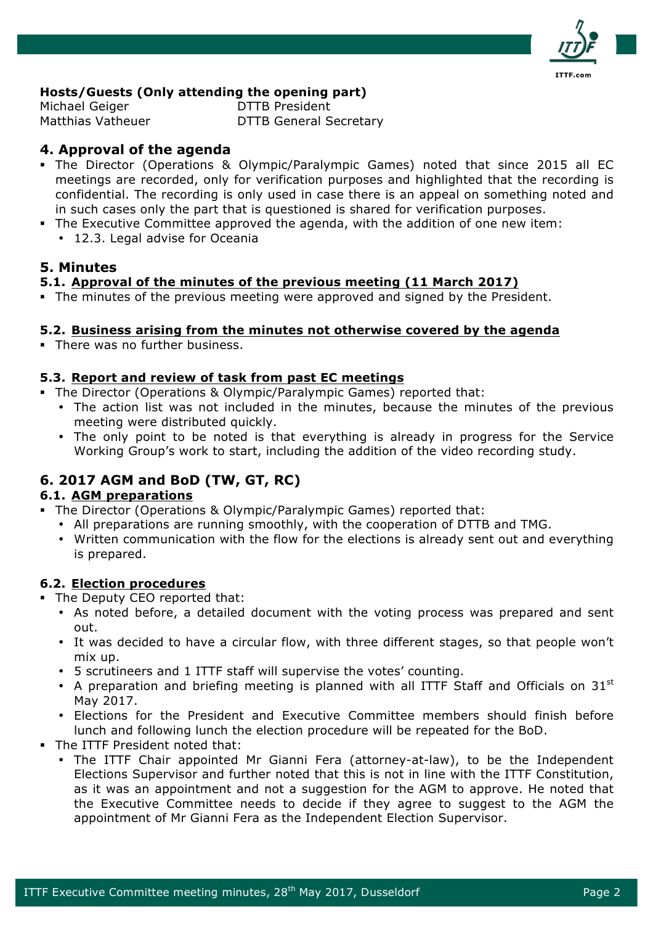

### **Hosts/Guests (Only attending the opening part)**

Michael Geiger DTTB President

Matthias Vatheuer **DTTB General Secretary** 

# **4. Approval of the agenda**

- § The Director (Operations & Olympic/Paralympic Games) noted that since 2015 all EC meetings are recorded, only for verification purposes and highlighted that the recording is confidential. The recording is only used in case there is an appeal on something noted and in such cases only the part that is questioned is shared for verification purposes.
- The Executive Committee approved the agenda, with the addition of one new item:
	- 12.3. Legal advise for Oceania

# **5. Minutes**

## **5.1. Approval of the minutes of the previous meeting (11 March 2017)**

• The minutes of the previous meeting were approved and signed by the President.

## **5.2. Business arising from the minutes not otherwise covered by the agenda**

• There was no further business.

### **5.3. Report and review of task from past EC meetings**

- § The Director (Operations & Olympic/Paralympic Games) reported that:
	- The action list was not included in the minutes, because the minutes of the previous meeting were distributed quickly.
	- The only point to be noted is that everything is already in progress for the Service Working Group's work to start, including the addition of the video recording study.

# **6. 2017 AGM and BoD (TW, GT, RC)**

### **6.1. AGM preparations**

- The Director (Operations & Olympic/Paralympic Games) reported that:
	- All preparations are running smoothly, with the cooperation of DTTB and TMG.
	- Written communication with the flow for the elections is already sent out and everything is prepared.

### **6.2. Election procedures**

• The Deputy CEO reported that:

- As noted before, a detailed document with the voting process was prepared and sent out.
- It was decided to have a circular flow, with three different stages, so that people won't mix up.
- 5 scrutineers and 1 ITTF staff will supervise the votes' counting.
- A preparation and briefing meeting is planned with all ITTF Staff and Officials on  $31<sup>st</sup>$ May 2017.
- Elections for the President and Executive Committee members should finish before lunch and following lunch the election procedure will be repeated for the BoD.
- The ITTF President noted that:
	- The ITTF Chair appointed Mr Gianni Fera (attorney-at-law), to be the Independent Elections Supervisor and further noted that this is not in line with the ITTF Constitution, as it was an appointment and not a suggestion for the AGM to approve. He noted that the Executive Committee needs to decide if they agree to suggest to the AGM the appointment of Mr Gianni Fera as the Independent Election Supervisor.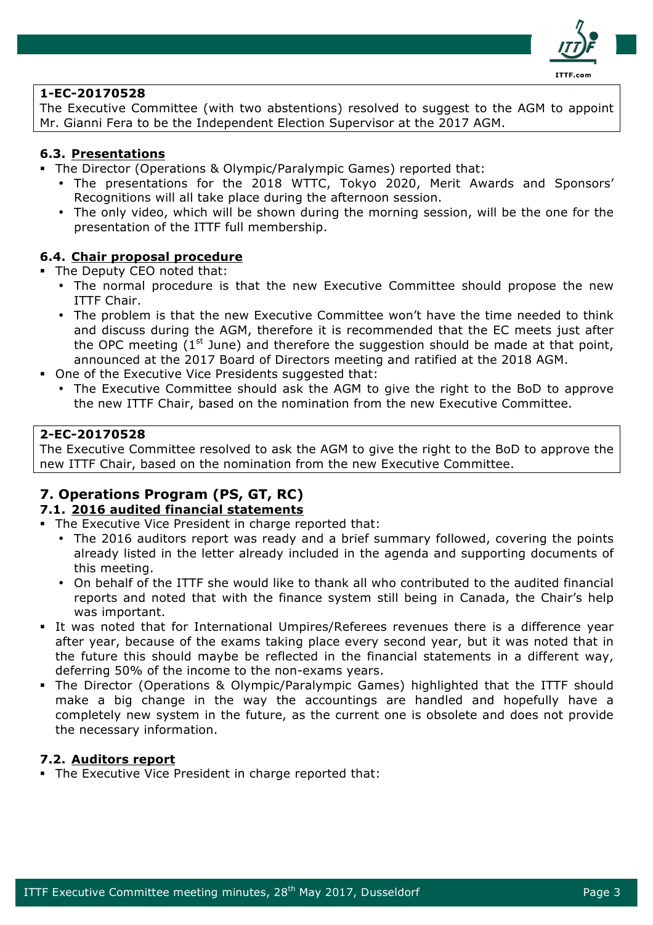

#### **1-EC-20170528**

The Executive Committee (with two abstentions) resolved to suggest to the AGM to appoint Mr. Gianni Fera to be the Independent Election Supervisor at the 2017 AGM.

#### **6.3. Presentations**

- § The Director (Operations & Olympic/Paralympic Games) reported that:
	- The presentations for the 2018 WTTC, Tokyo 2020, Merit Awards and Sponsors' Recognitions will all take place during the afternoon session.
	- The only video, which will be shown during the morning session, will be the one for the presentation of the ITTF full membership.

#### **6.4. Chair proposal procedure**

The Deputy CEO noted that:

- The normal procedure is that the new Executive Committee should propose the new ITTF Chair.
- The problem is that the new Executive Committee won't have the time needed to think and discuss during the AGM, therefore it is recommended that the EC meets just after the OPC meeting  $(1^{st}$  June) and therefore the suggestion should be made at that point, announced at the 2017 Board of Directors meeting and ratified at the 2018 AGM.
- One of the Executive Vice Presidents suggested that:
	- The Executive Committee should ask the AGM to give the right to the BoD to approve the new ITTF Chair, based on the nomination from the new Executive Committee.

#### **2-EC-20170528**

The Executive Committee resolved to ask the AGM to give the right to the BoD to approve the new ITTF Chair, based on the nomination from the new Executive Committee.

# **7. Operations Program (PS, GT, RC)**

#### **7.1. 2016 audited financial statements**

- The Executive Vice President in charge reported that:
	- The 2016 auditors report was ready and a brief summary followed, covering the points already listed in the letter already included in the agenda and supporting documents of this meeting.
	- On behalf of the ITTF she would like to thank all who contributed to the audited financial reports and noted that with the finance system still being in Canada, the Chair's help was important.
- § It was noted that for International Umpires/Referees revenues there is a difference year after year, because of the exams taking place every second year, but it was noted that in the future this should maybe be reflected in the financial statements in a different way, deferring 50% of the income to the non-exams years.
- § The Director (Operations & Olympic/Paralympic Games) highlighted that the ITTF should make a big change in the way the accountings are handled and hopefully have a completely new system in the future, as the current one is obsolete and does not provide the necessary information.

#### **7.2. Auditors report**

The Executive Vice President in charge reported that: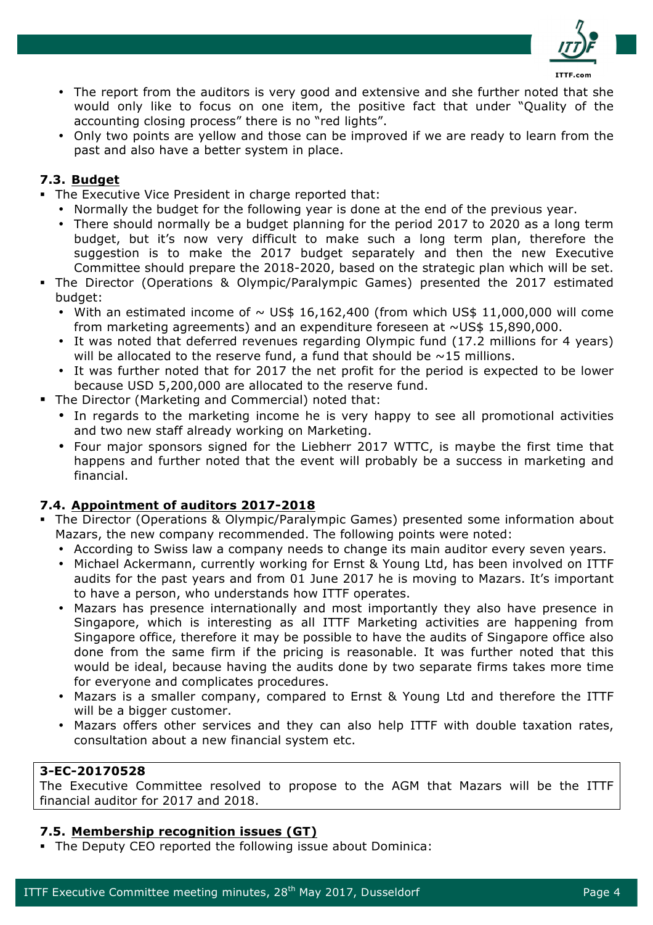

- The report from the auditors is very good and extensive and she further noted that she would only like to focus on one item, the positive fact that under "Quality of the accounting closing process" there is no "red lights".
- Only two points are yellow and those can be improved if we are ready to learn from the past and also have a better system in place.

### **7.3. Budget**

- The Executive Vice President in charge reported that:
	- Normally the budget for the following year is done at the end of the previous year.
	- There should normally be a budget planning for the period 2017 to 2020 as a long term budget, but it's now very difficult to make such a long term plan, therefore the suggestion is to make the 2017 budget separately and then the new Executive Committee should prepare the 2018-2020, based on the strategic plan which will be set.
- § The Director (Operations & Olympic/Paralympic Games) presented the 2017 estimated budget:
	- With an estimated income of  $\sim$  US\$ 16,162,400 (from which US\$ 11,000,000 will come from marketing agreements) and an expenditure foreseen at  $\sim$ US\$ 15,890,000.
	- It was noted that deferred revenues regarding Olympic fund (17.2 millions for 4 years) will be allocated to the reserve fund, a fund that should be  $\sim$ 15 millions.
	- It was further noted that for 2017 the net profit for the period is expected to be lower because USD 5,200,000 are allocated to the reserve fund.
- The Director (Marketing and Commercial) noted that:
	- In regards to the marketing income he is very happy to see all promotional activities and two new staff already working on Marketing.
	- Four major sponsors signed for the Liebherr 2017 WTTC, is maybe the first time that happens and further noted that the event will probably be a success in marketing and financial.

# **7.4. Appointment of auditors 2017-2018**

- The Director (Operations & Olympic/Paralympic Games) presented some information about Mazars, the new company recommended. The following points were noted:
	- According to Swiss law a company needs to change its main auditor every seven years.
	- Michael Ackermann, currently working for Ernst & Young Ltd, has been involved on ITTF audits for the past years and from 01 June 2017 he is moving to Mazars. It's important to have a person, who understands how ITTF operates.
	- Mazars has presence internationally and most importantly they also have presence in Singapore, which is interesting as all ITTF Marketing activities are happening from Singapore office, therefore it may be possible to have the audits of Singapore office also done from the same firm if the pricing is reasonable. It was further noted that this would be ideal, because having the audits done by two separate firms takes more time for everyone and complicates procedures.
	- Mazars is a smaller company, compared to Ernst & Young Ltd and therefore the ITTF will be a bigger customer.
	- Mazars offers other services and they can also help ITTF with double taxation rates, consultation about a new financial system etc.

#### **3-EC-20170528**

The Executive Committee resolved to propose to the AGM that Mazars will be the ITTF financial auditor for 2017 and 2018.

### **7.5. Membership recognition issues (GT)**

• The Deputy CEO reported the following issue about Dominica: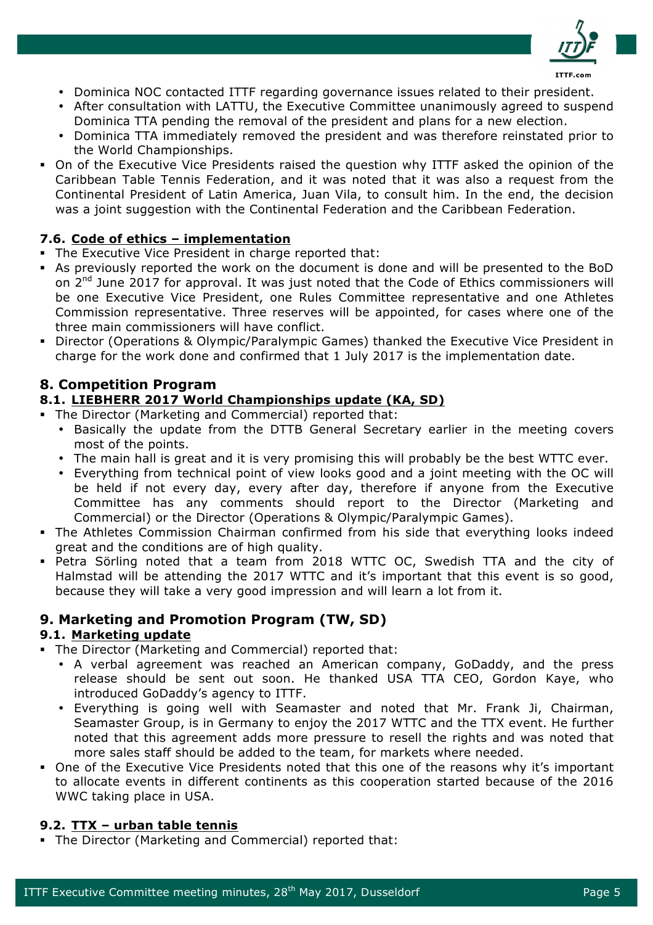

- Dominica NOC contacted ITTF regarding governance issues related to their president.
- After consultation with LATTU, the Executive Committee unanimously agreed to suspend Dominica TTA pending the removal of the president and plans for a new election.
- Dominica TTA immediately removed the president and was therefore reinstated prior to the World Championships.
- § On of the Executive Vice Presidents raised the question why ITTF asked the opinion of the Caribbean Table Tennis Federation, and it was noted that it was also a request from the Continental President of Latin America, Juan Vila, to consult him. In the end, the decision was a joint suggestion with the Continental Federation and the Caribbean Federation.

## **7.6. Code of ethics – implementation**

- The Executive Vice President in charge reported that:
- § As previously reported the work on the document is done and will be presented to the BoD on 2<sup>nd</sup> June 2017 for approval. It was just noted that the Code of Ethics commissioners will be one Executive Vice President, one Rules Committee representative and one Athletes Commission representative. Three reserves will be appointed, for cases where one of the three main commissioners will have conflict.
- § Director (Operations & Olympic/Paralympic Games) thanked the Executive Vice President in charge for the work done and confirmed that 1 July 2017 is the implementation date.

# **8. Competition Program**

### **8.1. LIEBHERR 2017 World Championships update (KA, SD)**

- The Director (Marketing and Commercial) reported that:
	- Basically the update from the DTTB General Secretary earlier in the meeting covers most of the points.
	- The main hall is great and it is very promising this will probably be the best WTTC ever.
	- Everything from technical point of view looks good and a joint meeting with the OC will be held if not every day, every after day, therefore if anyone from the Executive Committee has any comments should report to the Director (Marketing and Commercial) or the Director (Operations & Olympic/Paralympic Games).
- The Athletes Commission Chairman confirmed from his side that everything looks indeed great and the conditions are of high quality.
- § Petra Sörling noted that a team from 2018 WTTC OC, Swedish TTA and the city of Halmstad will be attending the 2017 WTTC and it's important that this event is so good, because they will take a very good impression and will learn a lot from it.

# **9. Marketing and Promotion Program (TW, SD)**

### **9.1. Marketing update**

- The Director (Marketing and Commercial) reported that:
	- A verbal agreement was reached an American company, GoDaddy, and the press release should be sent out soon. He thanked USA TTA CEO, Gordon Kaye, who introduced GoDaddy's agency to ITTF.
	- Everything is going well with Seamaster and noted that Mr. Frank Ji, Chairman, Seamaster Group, is in Germany to enjoy the 2017 WTTC and the TTX event. He further noted that this agreement adds more pressure to resell the rights and was noted that more sales staff should be added to the team, for markets where needed.
- § One of the Executive Vice Presidents noted that this one of the reasons why it's important to allocate events in different continents as this cooperation started because of the 2016 WWC taking place in USA.

### **9.2. TTX – urban table tennis**

• The Director (Marketing and Commercial) reported that: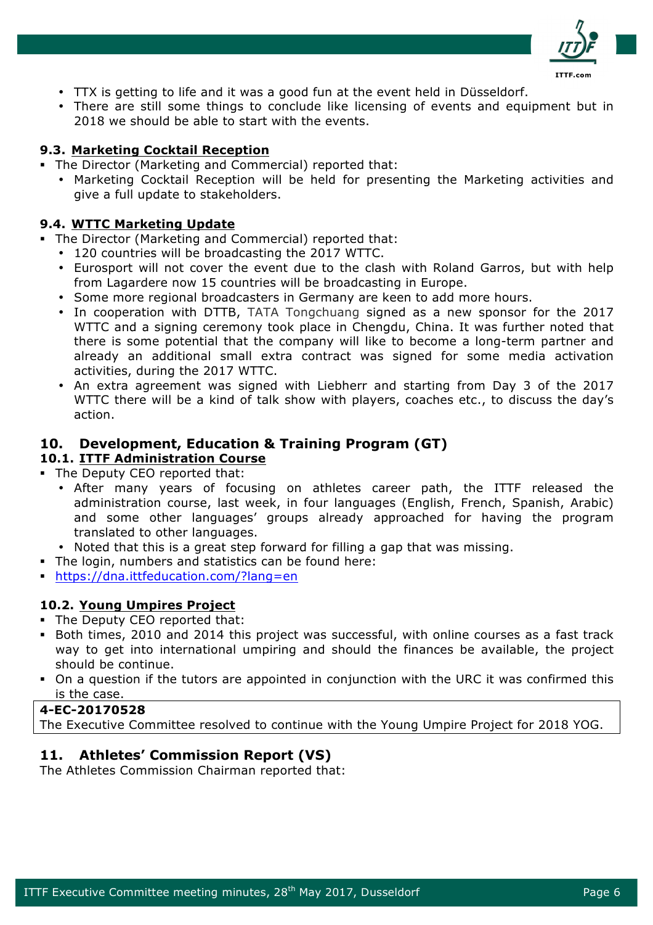

- TTX is getting to life and it was a good fun at the event held in Düsseldorf.
- There are still some things to conclude like licensing of events and equipment but in 2018 we should be able to start with the events.

### **9.3. Marketing Cocktail Reception**

- The Director (Marketing and Commercial) reported that:
	- Marketing Cocktail Reception will be held for presenting the Marketing activities and give a full update to stakeholders.

# **9.4. WTTC Marketing Update**

- The Director (Marketing and Commercial) reported that:
	- 120 countries will be broadcasting the 2017 WTTC.
	- Eurosport will not cover the event due to the clash with Roland Garros, but with help from Lagardere now 15 countries will be broadcasting in Europe.
	- Some more regional broadcasters in Germany are keen to add more hours.
	- In cooperation with DTTB, TATA Tongchuang signed as a new sponsor for the 2017 WTTC and a signing ceremony took place in Chengdu, China. It was further noted that there is some potential that the company will like to become a long-term partner and already an additional small extra contract was signed for some media activation activities, during the 2017 WTTC.
	- An extra agreement was signed with Liebherr and starting from Day 3 of the 2017 WTTC there will be a kind of talk show with players, coaches etc., to discuss the day's action.

# **10. Development, Education & Training Program (GT)**

### **10.1. ITTF Administration Course**

- The Deputy CEO reported that:
	- After many years of focusing on athletes career path, the ITTF released the administration course, last week, in four languages (English, French, Spanish, Arabic) and some other languages' groups already approached for having the program translated to other languages.
	- Noted that this is a great step forward for filling a gap that was missing.
- The login, numbers and statistics can be found here:
- § https://dna.ittfeducation.com/?lang=en

# **10.2. Young Umpires Project**

- The Deputy CEO reported that:
- § Both times, 2010 and 2014 this project was successful, with online courses as a fast track way to get into international umpiring and should the finances be available, the project should be continue.
- On a question if the tutors are appointed in conjunction with the URC it was confirmed this is the case.

### **4-EC-20170528**

The Executive Committee resolved to continue with the Young Umpire Project for 2018 YOG.

# **11. Athletes' Commission Report (VS)**

The Athletes Commission Chairman reported that: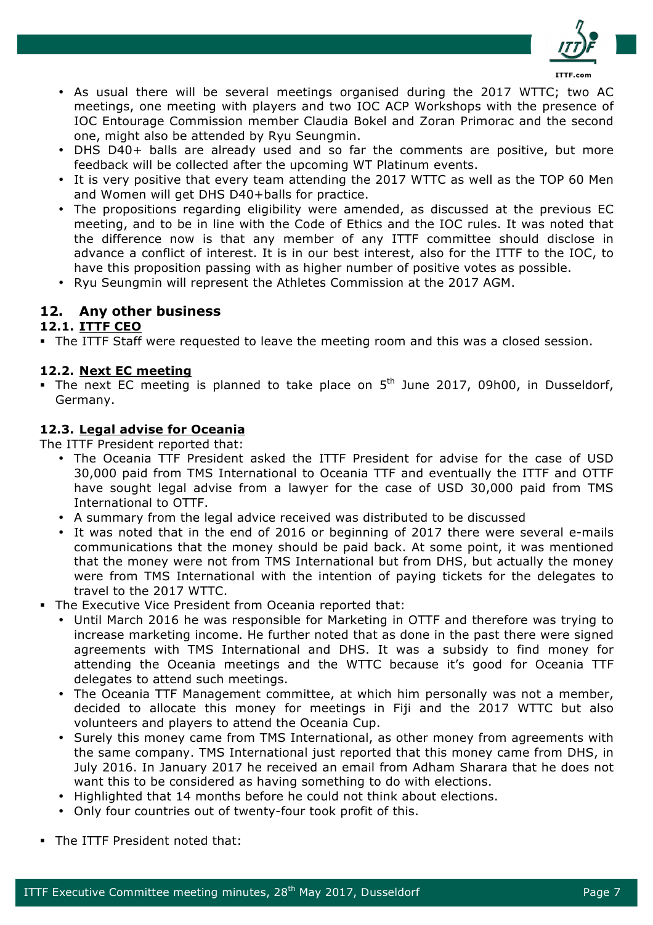

- As usual there will be several meetings organised during the 2017 WTTC; two AC meetings, one meeting with players and two IOC ACP Workshops with the presence of IOC Entourage Commission member Claudia Bokel and Zoran Primorac and the second one, might also be attended by Ryu Seungmin.
- DHS D40+ balls are already used and so far the comments are positive, but more feedback will be collected after the upcoming WT Platinum events.
- It is very positive that every team attending the 2017 WTTC as well as the TOP 60 Men and Women will get DHS D40+balls for practice.
- The propositions regarding eligibility were amended, as discussed at the previous EC meeting, and to be in line with the Code of Ethics and the IOC rules. It was noted that the difference now is that any member of any ITTF committee should disclose in advance a conflict of interest. It is in our best interest, also for the ITTF to the IOC, to have this proposition passing with as higher number of positive votes as possible.
- Ryu Seungmin will represent the Athletes Commission at the 2017 AGM.

## **12. Any other business**

#### **12.1. ITTF CEO**

• The ITTF Staff were requested to leave the meeting room and this was a closed session.

#### **12.2. Next EC meeting**

• The next EC meeting is planned to take place on  $5<sup>th</sup>$  June 2017, 09h00, in Dusseldorf, Germany.

### **12.3. Legal advise for Oceania**

The ITTF President reported that:

- The Oceania TTF President asked the ITTF President for advise for the case of USD 30,000 paid from TMS International to Oceania TTF and eventually the ITTF and OTTF have sought legal advise from a lawyer for the case of USD 30,000 paid from TMS International to OTTF.
- A summary from the legal advice received was distributed to be discussed
- It was noted that in the end of 2016 or beginning of 2017 there were several e-mails communications that the money should be paid back. At some point, it was mentioned that the money were not from TMS International but from DHS, but actually the money were from TMS International with the intention of paying tickets for the delegates to travel to the 2017 WTTC.
- The Executive Vice President from Oceania reported that:
	- Until March 2016 he was responsible for Marketing in OTTF and therefore was trying to increase marketing income. He further noted that as done in the past there were signed agreements with TMS International and DHS. It was a subsidy to find money for attending the Oceania meetings and the WTTC because it's good for Oceania TTF delegates to attend such meetings.
	- The Oceania TTF Management committee, at which him personally was not a member, decided to allocate this money for meetings in Fiji and the 2017 WTTC but also volunteers and players to attend the Oceania Cup.
	- Surely this money came from TMS International, as other money from agreements with the same company. TMS International just reported that this money came from DHS, in July 2016. In January 2017 he received an email from Adham Sharara that he does not want this to be considered as having something to do with elections.
	- Highlighted that 14 months before he could not think about elections.
	- Only four countries out of twenty-four took profit of this.
- The ITTF President noted that: